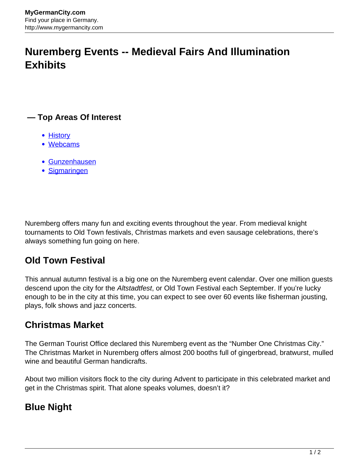# **Nuremberg Events -- Medieval Fairs And Illumination Exhibits**

#### **— Top Areas Of Interest**

- **[History](http://www.mygermancity.com/leipzig-history)**
- [Webcams](http://www.mygermancity.com/neustadt-holstein-webcams)
- [Gunzenhausen](http://www.mygermancity.com/gunzenhausen)
- [Sigmaringen](http://www.mygermancity.com/sigmaringen)

Nuremberg offers many fun and exciting events throughout the year. From medieval knight tournaments to Old Town festivals, Christmas markets and even sausage celebrations, there's always something fun going on here.

### **Old Town Festival**

This annual autumn festival is a big one on the Nuremberg event calendar. Over one million guests descend upon the city for the Altstadtfest, or Old Town Festival each September. If you're lucky enough to be in the city at this time, you can expect to see over 60 events like fisherman jousting, plays, folk shows and jazz concerts.

#### **Christmas Market**

The German Tourist Office declared this Nuremberg event as the "Number One Christmas City." The Christmas Market in Nuremberg offers almost 200 booths full of gingerbread, bratwurst, mulled wine and beautiful German handicrafts.

About two million visitors flock to the city during Advent to participate in this celebrated market and get in the Christmas spirit. That alone speaks volumes, doesn't it?

# **Blue Night**